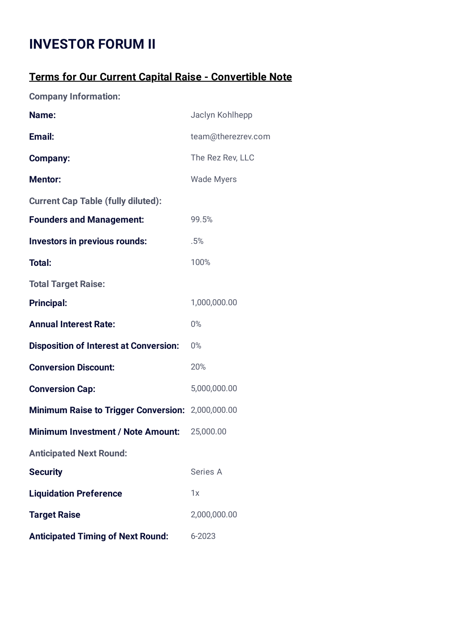## **INVESTOR FORUM II**

## **Terms for Our Current Capital Raise - Convertible Note**

**Company Information:**

| Name:                                             | Jaclyn Kohlhepp    |  |  |
|---------------------------------------------------|--------------------|--|--|
| Email:                                            | team@therezrev.com |  |  |
| <b>Company:</b>                                   | The Rez Rev, LLC   |  |  |
| <b>Mentor:</b>                                    | <b>Wade Myers</b>  |  |  |
| <b>Current Cap Table (fully diluted):</b>         |                    |  |  |
| <b>Founders and Management:</b>                   | 99.5%              |  |  |
| <b>Investors in previous rounds:</b>              | .5%                |  |  |
| <b>Total:</b>                                     | 100%               |  |  |
| <b>Total Target Raise:</b>                        |                    |  |  |
| <b>Principal:</b>                                 | 1,000,000.00       |  |  |
| <b>Annual Interest Rate:</b>                      | $0\%$              |  |  |
| <b>Disposition of Interest at Conversion:</b>     | 0%                 |  |  |
| <b>Conversion Discount:</b>                       | 20%                |  |  |
| <b>Conversion Cap:</b>                            | 5,000,000.00       |  |  |
| Minimum Raise to Trigger Conversion: 2,000,000.00 |                    |  |  |
| <b>Minimum Investment / Note Amount:</b>          | 25,000.00          |  |  |
| <b>Anticipated Next Round:</b>                    |                    |  |  |
| <b>Security</b>                                   | Series A           |  |  |
| <b>Liquidation Preference</b>                     | 1x                 |  |  |
| <b>Target Raise</b>                               | 2,000,000.00       |  |  |
| <b>Anticipated Timing of Next Round:</b>          | 6-2023             |  |  |